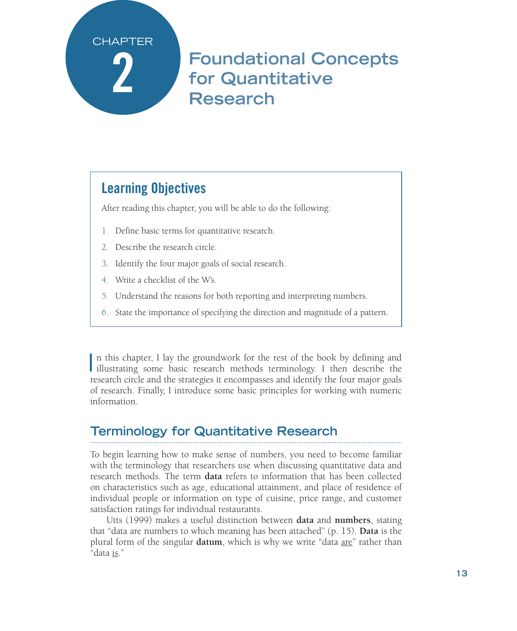#### **CHAPTER**

2

# **Foundational Concepts for Quantitative Research**

# Learning Objectives

After reading this chapter, you will be able to do the following:

- 1. Define basic terms for quantitative research.
- 2. Describe the research circle.
- 3. Identify the four major goals of social research.
- 4. Write a checklist of the W's.
- 5. Understand the reasons for both reporting and interpreting numbers.
- 6. State the importance of specifying the direction and magnitude of a pattern.

In this chapter, I lay the groundwork for the rest of the book by defining and illustrating some basic research methods terminology. I then describe the n this chapter, I lay the groundwork for the rest of the book by defining and research circle and the strategies it encompasses and identify the four major goals of research. Finally, I introduce some basic principles for working with numeric information.

# **Terminology for Quantitative Research**

To begin learning how to make sense of numbers, you need to become familiar with the terminology that researchers use when discussing quantitative data and research methods. The term **data** refers to information that has been collected on characteristics such as age, educational attainment, and place of residence of individual people or information on type of cuisine, price range, and customer satisfaction ratings for individual restaurants.

Utts (1999) makes a useful distinction between **data** and **numbers**, stating that "data are numbers to which meaning has been attached" (p. 15). **Data** is the plural form of the singular **datum**, which is why we write "data are" rather than "data is."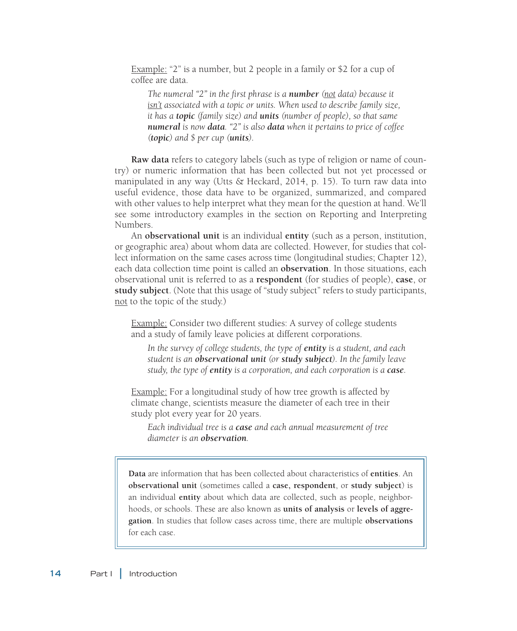Example: "2" is a number, but 2 people in a family or \$2 for a cup of coffee are data.

*The numeral "2" in the first phrase is a number (not data) because it isn't associated with a topic or units. When used to describe family size, it has a topic (family size) and units (number of people), so that same numeral is now data. "2" is also data when it pertains to price of coffee (topic) and \$ per cup (units).*

**Raw data** refers to category labels (such as type of religion or name of country) or numeric information that has been collected but not yet processed or manipulated in any way (Utts & Heckard, 2014, p. 15). To turn raw data into useful evidence, those data have to be organized, summarized, and compared with other values to help interpret what they mean for the question at hand. We'll see some introductory examples in the section on Reporting and Interpreting Numbers.

An **observational unit** is an individual **entity** (such as a person, institution, or geographic area) about whom data are collected. However, for studies that collect information on the same cases across time (longitudinal studies; Chapter 12), each data collection time point is called an **observation**. In those situations, each observational unit is referred to as a **respondent** (for studies of people), **case**, or **study subject**. (Note that this usage of "study subject" refers to study participants, not to the topic of the study.)

Example: Consider two different studies: A survey of college students and a study of family leave policies at different corporations.

*In the survey of college students, the type of entity is a student, and each student is an observational unit (or study subject). In the family leave study, the type of entity is a corporation, and each corporation is a case.*

Example: For a longitudinal study of how tree growth is affected by climate change, scientists measure the diameter of each tree in their study plot every year for 20 years.

*Each individual tree is a case and each annual measurement of tree diameter is an observation.*

**Data** are information that has been collected about characteristics of **entities**. An **observational unit** (sometimes called a **case, respondent**, or **study subject**) is an individual **entity** about which data are collected, such as people, neighborhoods, or schools. These are also known as **units of analysis** or **levels of aggregation**. In studies that follow cases across time, there are multiple **observations** for each case.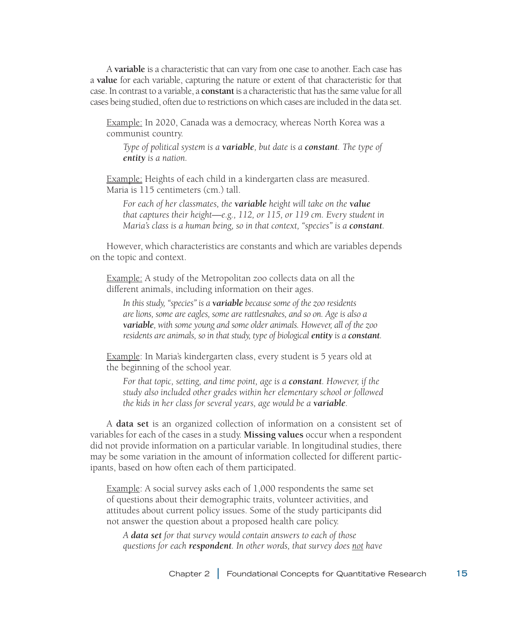A **variable** is a characteristic that can vary from one case to another. Each case has a **value** for each variable, capturing the nature or extent of that characteristic for that case. In contrast to a variable, a **constant** is a characteristic that has the same value for all cases being studied, often due to restrictions on which cases are included in the data set.

Example: In 2020, Canada was a democracy, whereas North Korea was a communist country.

*Type of political system is a variable, but date is a constant. The type of entity is a nation.*

Example: Heights of each child in a kindergarten class are measured. Maria is 115 centimeters (cm.) tall.

*For each of her classmates, the variable height will take on the value that captures their height—e.g., 112, or 115, or 119 cm. Every student in Maria's class is a human being, so in that context, "species" is a <i>constant*.

However, which characteristics are constants and which are variables depends on the topic and context.

Example: A study of the Metropolitan zoo collects data on all the different animals, including information on their ages.

*In this study, "species" is a variable because some of the zoo residents are lions, some are eagles, some are rattlesnakes, and so on. Age is also a variable, with some young and some older animals. However, all of the zoo residents are animals, so in that study, type of biological entity is a constant.* 

Example: In Maria's kindergarten class, every student is 5 years old at the beginning of the school year.

*For that topic, setting, and time point, age is a constant. However, if the study also included other grades within her elementary school or followed the kids in her class for several years, age would be a variable.*

A **data set** is an organized collection of information on a consistent set of variables for each of the cases in a study. **Missing values** occur when a respondent did not provide information on a particular variable. In longitudinal studies, there may be some variation in the amount of information collected for different participants, based on how often each of them participated.

Example: A social survey asks each of 1,000 respondents the same set of questions about their demographic traits, volunteer activities, and attitudes about current policy issues. Some of the study participants did not answer the question about a proposed health care policy.

*A data set for that survey would contain answers to each of those questions for each respondent. In other words, that survey does not have*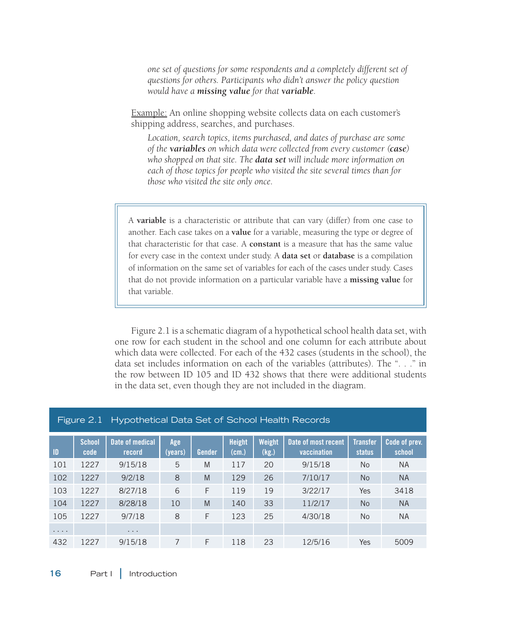*one set of questions for some respondents and a completely different set of questions for others. Participants who didn't answer the policy question would have a missing value for that variable.*

Example: An online shopping website collects data on each customer's shipping address, searches, and purchases.

*Location, search topics, items purchased, and dates of purchase are some of the variables on which data were collected from every customer (case) who shopped on that site. The data set will include more information on each of those topics for people who visited the site several times than for those who visited the site only once.*

A **variable** is a characteristic or attribute that can vary (differ) from one case to another. Each case takes on a **value** for a variable, measuring the type or degree of that characteristic for that case. A **constant** is a measure that has the same value for every case in the context under study. A **data set** or **database** is a compilation of information on the same set of variables for each of the cases under study. Cases that do not provide information on a particular variable have a **missing value** for that variable.

Figure 2.1 is a schematic diagram of a hypothetical school health data set, with one row for each student in the school and one column for each attribute about which data were collected. For each of the 432 cases (students in the school), the data set includes information on each of the variables (attributes). The ". . ." in the row between ID 105 and ID 432 shows that there were additional students in the data set, even though they are not included in the diagram.

| -ID   | <b>School</b><br>code | Date of medical<br>record | Age<br>(years) | Gender | <b>Height</b><br>(cm.) | Weight<br>(kg) | Date of most recent<br>vaccination | <b>Transfer</b><br>status | Code of prev.<br>school |
|-------|-----------------------|---------------------------|----------------|--------|------------------------|----------------|------------------------------------|---------------------------|-------------------------|
| 101   | 1227                  | 9/15/18                   | 5              | M      | 117                    | 20             | 9/15/18                            | <b>No</b>                 | <b>NA</b>               |
| 102   | 1227                  | 9/2/18                    | 8              | M      | 129                    | 26             | 7/10/17                            | <b>No</b>                 | <b>NA</b>               |
| 103   | 1227                  | 8/27/18                   | 6              | F      | 119                    | 19             | 3/22/17                            | Yes                       | 3418                    |
| 104   | 1227                  | 8/28/18                   | 10             | M      | 140                    | 33             | 11/2/17                            | <b>No</b>                 | <b>NA</b>               |
| 105   | 1227                  | 9/7/18                    | 8              | F      | 123                    | 25             | 4/30/18                            | <b>No</b>                 | <b>NA</b>               |
| 1.1.1 |                       | $\cdots$                  |                |        |                        |                |                                    |                           |                         |
| 432   | 1227                  | 9/15/18                   | 7              | F      | 118                    | 23             | 12/5/16                            | Yes                       | 5009                    |

#### Figure 2.1 Hypothetical Data Set of School Health Records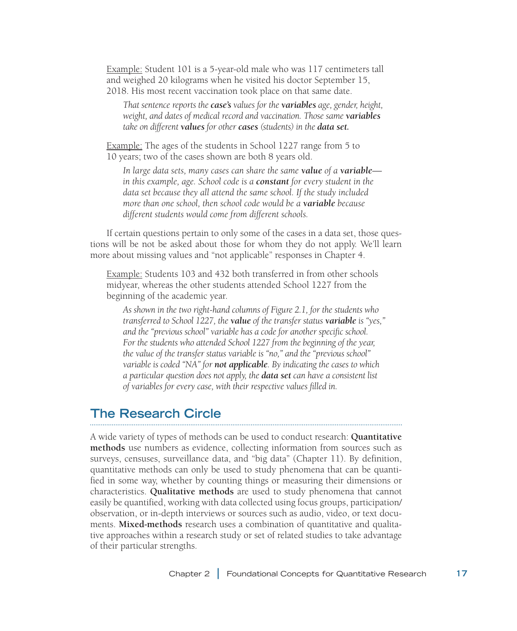Example: Student 101 is a 5-year-old male who was 117 centimeters tall and weighed 20 kilograms when he visited his doctor September 15, 2018. His most recent vaccination took place on that same date.

*That sentence reports the case's values for the variables age, gender, height, weight, and dates of medical record and vaccination. Those same variables take on different values for other cases (students) in the data set.*

Example: The ages of the students in School 1227 range from 5 to 10 years; two of the cases shown are both 8 years old.

*In large data sets, many cases can share the same value of a variable in this example, age. School code is a constant for every student in the data set because they all attend the same school. If the study included more than one school, then school code would be a variable because different students would come from different schools.*

If certain questions pertain to only some of the cases in a data set, those questions will be not be asked about those for whom they do not apply. We'll learn more about missing values and "not applicable" responses in Chapter 4.

Example: Students 103 and 432 both transferred in from other schools midyear, whereas the other students attended School 1227 from the beginning of the academic year.

*As shown in the two right-hand columns of Figure 2.1, for the students who transferred to School 1227, the value of the transfer status variable is "yes," and the "previous school" variable has a code for another specific school. For the students who attended School 1227 from the beginning of the year, the value of the transfer status variable is "no," and the "previous school" variable is coded "NA" for not applicable. By indicating the cases to which a particular question does not apply, the data set can have a consistent list of variables for every case, with their respective values filled in.*

# **The Research Circle**

A wide variety of types of methods can be used to conduct research: **Quantitative methods** use numbers as evidence, collecting information from sources such as surveys, censuses, surveillance data, and "big data" (Chapter 11). By definition, quantitative methods can only be used to study phenomena that can be quantified in some way, whether by counting things or measuring their dimensions or characteristics. **Qualitative methods** are used to study phenomena that cannot easily be quantified, working with data collected using focus groups, participation/ observation, or in-depth interviews or sources such as audio, video, or text documents. **Mixed-methods** research uses a combination of quantitative and qualitative approaches within a research study or set of related studies to take advantage of their particular strengths.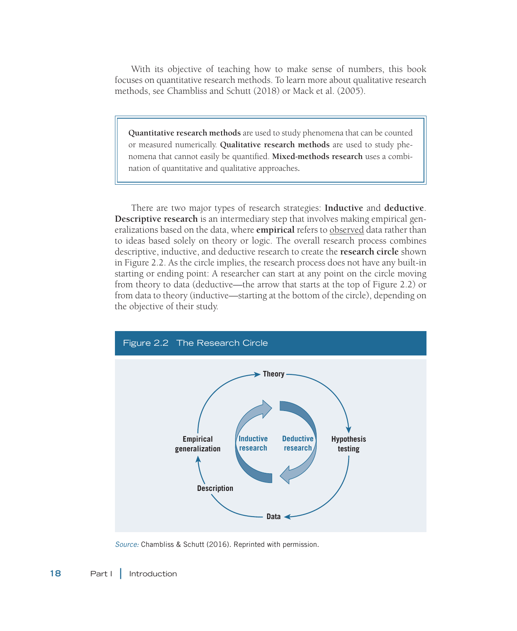With its objective of teaching how to make sense of numbers, this book focuses on quantitative research methods. To learn more about qualitative research methods, see Chambliss and Schutt (2018) or Mack et al. (2005).

**Quantitative research methods** are used to study phenomena that can be counted or measured numerically. **Qualitative research methods** are used to study phenomena that cannot easily be quantified. **Mixed-methods research** uses a combination of quantitative and qualitative approaches**.**

There are two major types of research strategies: **Inductive** and **deductive**. **Descriptive research** is an intermediary step that involves making empirical generalizations based on the data, where **empirical** refers to observed data rather than to ideas based solely on theory or logic. The overall research process combines descriptive, inductive, and deductive research to create the **research circle** shown in Figure 2.2. As the circle implies, the research process does not have any built-in starting or ending point: A researcher can start at any point on the circle moving from theory to data (deductive—the arrow that starts at the top of Figure 2.2) or from data to theory (inductive—starting at the bottom of the circle), depending on the objective of their study.



*Source:* Chambliss & Schutt (2016). Reprinted with permission.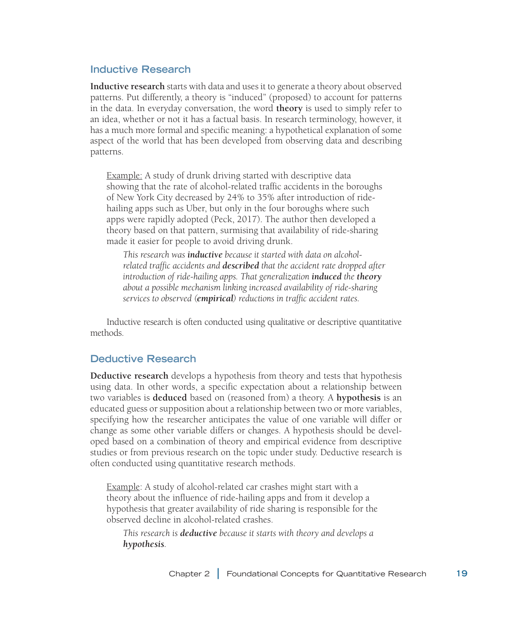### **Inductive Research**

**Inductive research** starts with data and uses it to generate a theory about observed patterns. Put differently, a theory is "induced" (proposed) to account for patterns in the data. In everyday conversation, the word **theory** is used to simply refer to an idea, whether or not it has a factual basis. In research terminology, however, it has a much more formal and specific meaning: a hypothetical explanation of some aspect of the world that has been developed from observing data and describing patterns.

Example: A study of drunk driving started with descriptive data showing that the rate of alcohol-related traffic accidents in the boroughs of New York City decreased by 24% to 35% after introduction of ridehailing apps such as Uber, but only in the four boroughs where such apps were rapidly adopted (Peck, 2017). The author then developed a theory based on that pattern, surmising that availability of ride-sharing made it easier for people to avoid driving drunk.

*This research was inductive because it started with data on alcoholrelated traffic accidents and described that the accident rate dropped after introduction of ride-hailing apps. That generalization induced the theory about a possible mechanism linking increased availability of ride-sharing services to observed (empirical) reductions in traffic accident rates.*

Inductive research is often conducted using qualitative or descriptive quantitative methods.

### **Deductive Research**

**Deductive research** develops a hypothesis from theory and tests that hypothesis using data. In other words, a specific expectation about a relationship between two variables is **deduced** based on (reasoned from) a theory. A **hypothesis** is an educated guess or supposition about a relationship between two or more variables, specifying how the researcher anticipates the value of one variable will differ or change as some other variable differs or changes. A hypothesis should be developed based on a combination of theory and empirical evidence from descriptive studies or from previous research on the topic under study. Deductive research is often conducted using quantitative research methods.

Example: A study of alcohol-related car crashes might start with a theory about the influence of ride-hailing apps and from it develop a hypothesis that greater availability of ride sharing is responsible for the observed decline in alcohol-related crashes.

*This research is deductive because it starts with theory and develops a hypothesis.*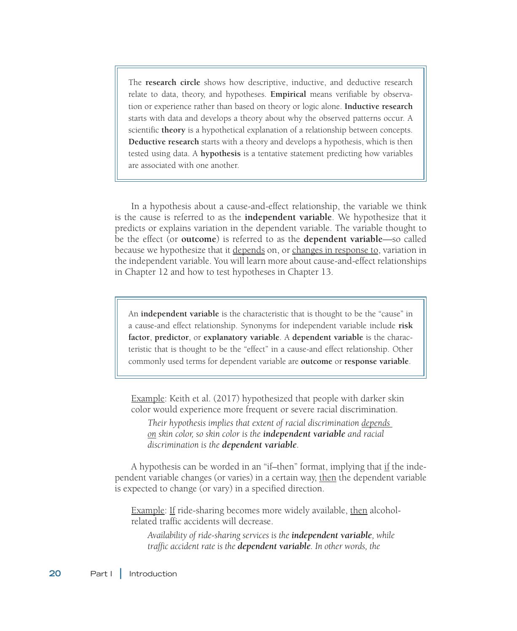The **research circle** shows how descriptive, inductive, and deductive research relate to data, theory, and hypotheses. **Empirical** means verifiable by observation or experience rather than based on theory or logic alone. **Inductive research** starts with data and develops a theory about why the observed patterns occur. A scientific **theory** is a hypothetical explanation of a relationship between concepts. **Deductive research** starts with a theory and develops a hypothesis, which is then tested using data. A **hypothesis** is a tentative statement predicting how variables are associated with one another.

In a hypothesis about a cause-and-effect relationship, the variable we think is the cause is referred to as the **independent variable**. We hypothesize that it predicts or explains variation in the dependent variable. The variable thought to be the effect (or **outcome**) is referred to as the **dependent variable**—so called because we hypothesize that it depends on, or changes in response to, variation in the independent variable. You will learn more about cause-and-effect relationships in Chapter 12 and how to test hypotheses in Chapter 13.

An **independent variable** is the characteristic that is thought to be the "cause" in a cause-and effect relationship. Synonyms for independent variable include **risk factor**, **predictor**, or **explanatory variable**. A **dependent variable** is the characteristic that is thought to be the "effect" in a cause-and effect relationship. Other commonly used terms for dependent variable are **outcome** or **response variable**.

Example: Keith et al. (2017) hypothesized that people with darker skin color would experience more frequent or severe racial discrimination.

*Their hypothesis implies that extent of racial discrimination depends on skin color, so skin color is the independent variable and racial discrimination is the dependent variable.*

A hypothesis can be worded in an "if–then" format, implying that if the independent variable changes (or varies) in a certain way, then the dependent variable is expected to change (or vary) in a specified direction.

Example: If ride-sharing becomes more widely available, then alcoholrelated traffic accidents will decrease.

*Availability of ride-sharing services is the independent variable, while traffic accident rate is the dependent variable. In other words, the*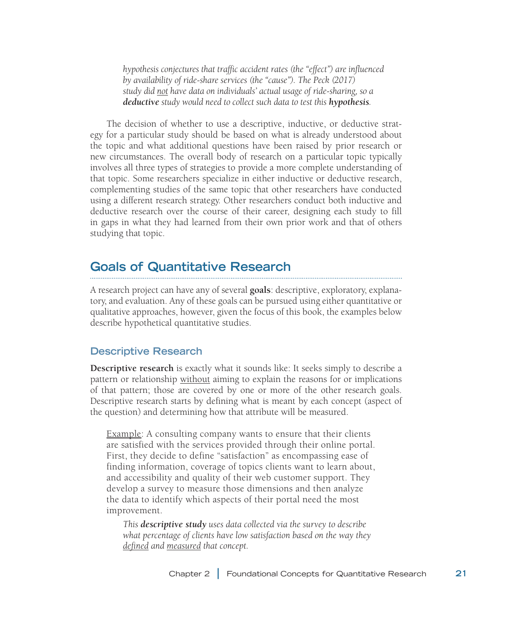*hypothesis conjectures that traffic accident rates (the "effect") are influenced by availability of ride-share services (the "cause"). The Peck (2017) study did not have data on individuals' actual usage of ride-sharing, so a deductive study would need to collect such data to test this hypothesis.*

The decision of whether to use a descriptive, inductive, or deductive strategy for a particular study should be based on what is already understood about the topic and what additional questions have been raised by prior research or new circumstances. The overall body of research on a particular topic typically involves all three types of strategies to provide a more complete understanding of that topic. Some researchers specialize in either inductive or deductive research, complementing studies of the same topic that other researchers have conducted using a different research strategy. Other researchers conduct both inductive and deductive research over the course of their career, designing each study to fill in gaps in what they had learned from their own prior work and that of others studying that topic.

# **Goals of Quantitative Research**

A research project can have any of several **goals**: descriptive, exploratory, explanatory, and evaluation. Any of these goals can be pursued using either quantitative or qualitative approaches, however, given the focus of this book, the examples below describe hypothetical quantitative studies.

#### **Descriptive Research**

**Descriptive research** is exactly what it sounds like: It seeks simply to describe a pattern or relationship without aiming to explain the reasons for or implications of that pattern; those are covered by one or more of the other research goals. Descriptive research starts by defining what is meant by each concept (aspect of the question) and determining how that attribute will be measured.

Example: A consulting company wants to ensure that their clients are satisfied with the services provided through their online portal. First, they decide to define "satisfaction" as encompassing ease of finding information, coverage of topics clients want to learn about, and accessibility and quality of their web customer support. They develop a survey to measure those dimensions and then analyze the data to identify which aspects of their portal need the most improvement.

*This descriptive study uses data collected via the survey to describe what percentage of clients have low satisfaction based on the way they defined and measured that concept.*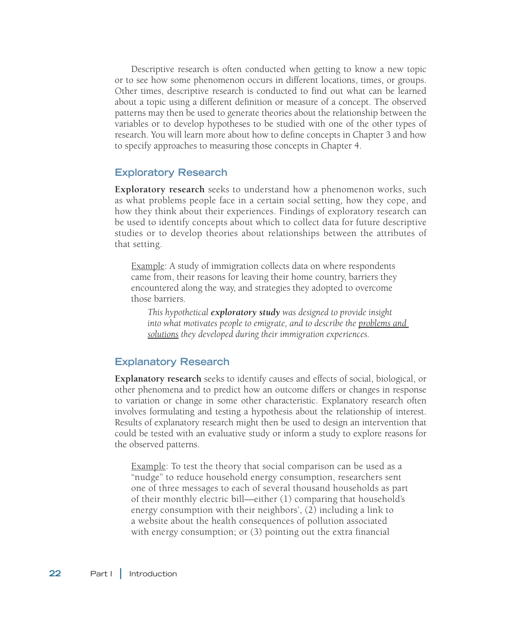Descriptive research is often conducted when getting to know a new topic or to see how some phenomenon occurs in different locations, times, or groups. Other times, descriptive research is conducted to find out what can be learned about a topic using a different definition or measure of a concept. The observed patterns may then be used to generate theories about the relationship between the variables or to develop hypotheses to be studied with one of the other types of research. You will learn more about how to define concepts in Chapter 3 and how to specify approaches to measuring those concepts in Chapter 4.

#### **Exploratory Research**

**Exploratory research** seeks to understand how a phenomenon works, such as what problems people face in a certain social setting, how they cope, and how they think about their experiences. Findings of exploratory research can be used to identify concepts about which to collect data for future descriptive studies or to develop theories about relationships between the attributes of that setting.

Example: A study of immigration collects data on where respondents came from, their reasons for leaving their home country, barriers they encountered along the way, and strategies they adopted to overcome those barriers.

*This hypothetical exploratory study was designed to provide insight into what motivates people to emigrate, and to describe the problems and solutions they developed during their immigration experiences.*

#### **Explanatory Research**

**Explanatory research** seeks to identify causes and effects of social, biological, or other phenomena and to predict how an outcome differs or changes in response to variation or change in some other characteristic. Explanatory research often involves formulating and testing a hypothesis about the relationship of interest. Results of explanatory research might then be used to design an intervention that could be tested with an evaluative study or inform a study to explore reasons for the observed patterns.

Example: To test the theory that social comparison can be used as a "nudge" to reduce household energy consumption, researchers sent one of three messages to each of several thousand households as part of their monthly electric bill—either (1) comparing that household's energy consumption with their neighbors', (2) including a link to a website about the health consequences of pollution associated with energy consumption; or (3) pointing out the extra financial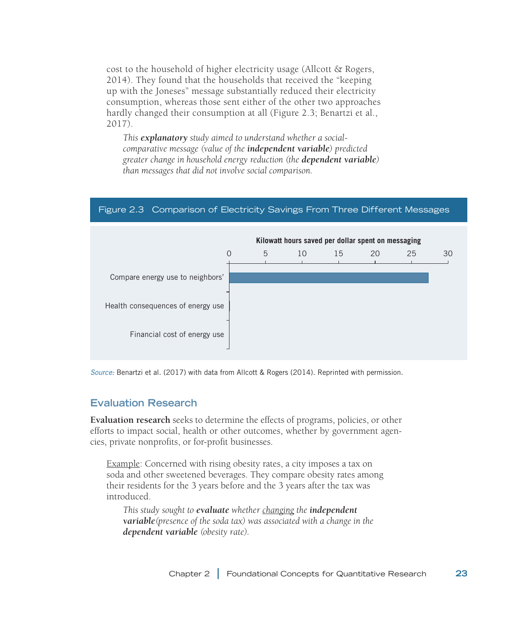cost to the household of higher electricity usage (Allcott & Rogers, 2014). They found that the households that received the "keeping up with the Joneses" message substantially reduced their electricity consumption, whereas those sent either of the other two approaches hardly changed their consumption at all (Figure 2.3; Benartzi et al., 2017).

*This explanatory study aimed to understand whether a socialcomparative message (value of the independent variable) predicted greater change in household energy reduction (the dependent variable) than messages that did not involve social comparison.*

#### Figure 2.3 Comparison of Electricity Savings From Three Different Messages



*Source:* Benartzi et al. (2017) with data from Allcott & Rogers (2014). Reprinted with permission.

### **Evaluation Research**

**Evaluation research** seeks to determine the effects of programs, policies, or other efforts to impact social, health or other outcomes, whether by government agencies, private nonprofits, or for-profit businesses.

Example: Concerned with rising obesity rates, a city imposes a tax on soda and other sweetened beverages. They compare obesity rates among their residents for the 3 years before and the 3 years after the tax was introduced.

*This study sought to evaluate whether changing the independent variable(presence of the soda tax) was associated with a change in the dependent variable (obesity rate).*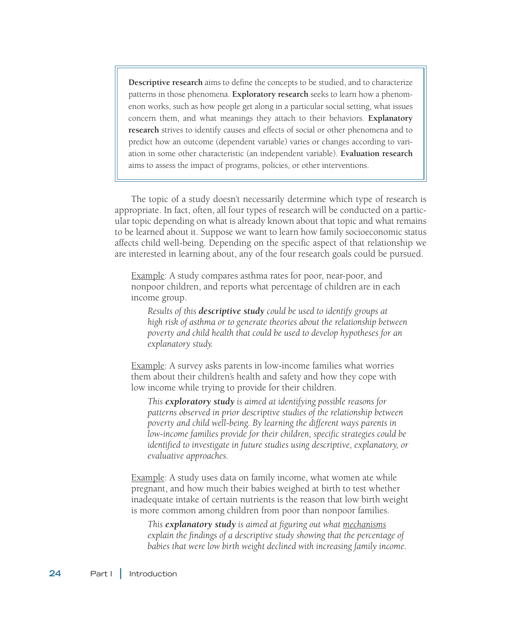**Descriptive research** aims to define the concepts to be studied, and to characterize patterns in those phenomena. **Exploratory research** seeks to learn how a phenomenon works, such as how people get along in a particular social setting, what issues concern them, and what meanings they attach to their behaviors. **Explanatory research** strives to identify causes and effects of social or other phenomena and to predict how an outcome (dependent variable) varies or changes according to variation in some other characteristic (an independent variable). **Evaluation research** aims to assess the impact of programs, policies, or other interventions.

The topic of a study doesn't necessarily determine which type of research is appropriate. In fact, often, all four types of research will be conducted on a particular topic depending on what is already known about that topic and what remains to be learned about it. Suppose we want to learn how family socioeconomic status affects child well-being. Depending on the specific aspect of that relationship we are interested in learning about, any of the four research goals could be pursued.

Example: A study compares asthma rates for poor, near-poor, and nonpoor children, and reports what percentage of children are in each income group.

*Results of this descriptive study could be used to identify groups at high risk of asthma or to generate theories about the relationship between poverty and child health that could be used to develop hypotheses for an explanatory study.*

Example: A survey asks parents in low-income families what worries them about their children's health and safety and how they cope with low income while trying to provide for their children.

*This exploratory study is aimed at identifying possible reasons for patterns observed in prior descriptive studies of the relationship between poverty and child well-being. By learning the different ways parents in low-income families provide for their children, specific strategies could be identified to investigate in future studies using descriptive, explanatory, or evaluative approaches.*

Example: A study uses data on family income, what women ate while pregnant, and how much their babies weighed at birth to test whether inadequate intake of certain nutrients is the reason that low birth weight is more common among children from poor than nonpoor families.

*This explanatory study is aimed at figuring out what mechanisms explain the findings of a descriptive study showing that the percentage of babies that were low birth weight declined with increasing family income.*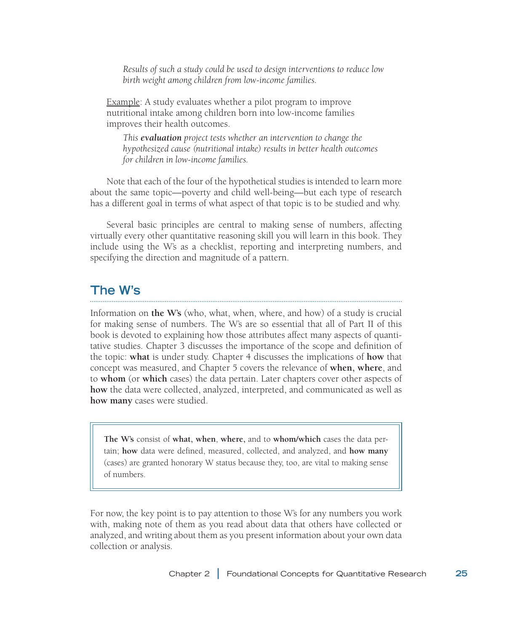*Results of such a study could be used to design interventions to reduce low birth weight among children from low-income families.*

**Example:** A study evaluates whether a pilot program to improve nutritional intake among children born into low-income families improves their health outcomes.

*This evaluation project tests whether an intervention to change the hypothesized cause (nutritional intake) results in better health outcomes for children in low-income families.*

Note that each of the four of the hypothetical studies is intended to learn more about the same topic—poverty and child well-being—but each type of research has a different goal in terms of what aspect of that topic is to be studied and why.

Several basic principles are central to making sense of numbers, affecting virtually every other quantitative reasoning skill you will learn in this book. They include using the W's as a checklist, reporting and interpreting numbers, and specifying the direction and magnitude of a pattern.

# **The W's**

Information on **the W's** (who, what, when, where, and how) of a study is crucial for making sense of numbers. The W's are so essential that all of Part II of this book is devoted to explaining how those attributes affect many aspects of quantitative studies. Chapter 3 discusses the importance of the scope and definition of the topic: **what** is under study. Chapter 4 discusses the implications of **how** that concept was measured, and Chapter 5 covers the relevance of **when, where**, and to **whom** (or **which** cases) the data pertain. Later chapters cover other aspects of **how** the data were collected, analyzed, interpreted, and communicated as well as **how many** cases were studied.

**The W's** consist of **what, when**, **where,** and to **whom/which** cases the data pertain; **how** data were defined, measured, collected, and analyzed, and **how many** (cases) are granted honorary W status because they, too, are vital to making sense of numbers.

For now, the key point is to pay attention to those W's for any numbers you work with, making note of them as you read about data that others have collected or analyzed, and writing about them as you present information about your own data collection or analysis.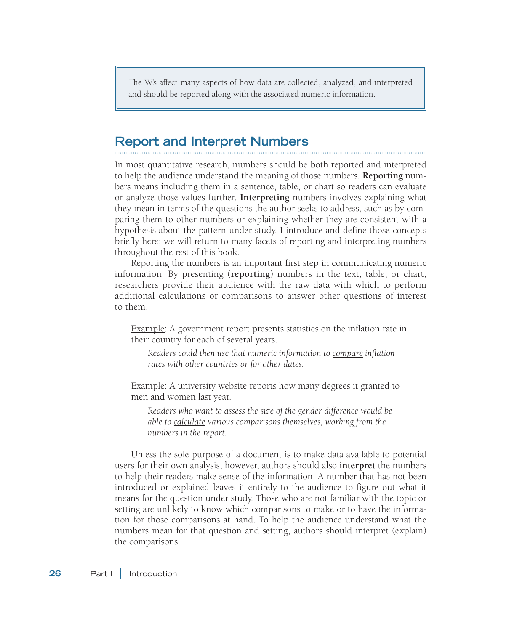The W's affect many aspects of how data are collected, analyzed, and interpreted and should be reported along with the associated numeric information.

# **Report and Interpret Numbers**

In most quantitative research, numbers should be both reported and interpreted to help the audience understand the meaning of those numbers. **Reporting** numbers means including them in a sentence, table, or chart so readers can evaluate or analyze those values further. **Interpreting** numbers involves explaining what they mean in terms of the questions the author seeks to address, such as by comparing them to other numbers or explaining whether they are consistent with a hypothesis about the pattern under study. I introduce and define those concepts briefly here; we will return to many facets of reporting and interpreting numbers throughout the rest of this book.

Reporting the numbers is an important first step in communicating numeric information. By presenting (**reporting**) numbers in the text, table, or chart, researchers provide their audience with the raw data with which to perform additional calculations or comparisons to answer other questions of interest to them.

Example: A government report presents statistics on the inflation rate in their country for each of several years.

*Readers could then use that numeric information to compare inflation rates with other countries or for other dates.*

Example: A university website reports how many degrees it granted to men and women last year.

*Readers who want to assess the size of the gender difference would be able to calculate various comparisons themselves, working from the numbers in the report.*

Unless the sole purpose of a document is to make data available to potential users for their own analysis, however, authors should also **interpret** the numbers to help their readers make sense of the information. A number that has not been introduced or explained leaves it entirely to the audience to figure out what it means for the question under study. Those who are not familiar with the topic or setting are unlikely to know which comparisons to make or to have the information for those comparisons at hand. To help the audience understand what the numbers mean for that question and setting, authors should interpret (explain) the comparisons.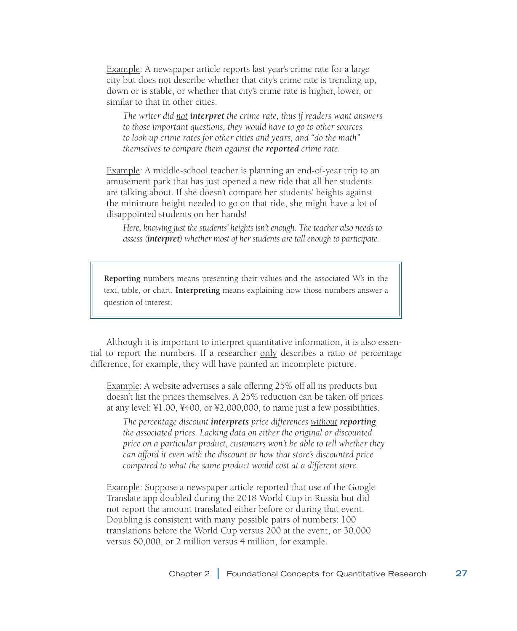Example: A newspaper article reports last year's crime rate for a large city but does not describe whether that city's crime rate is trending up, down or is stable, or whether that city's crime rate is higher, lower, or similar to that in other cities.

*The writer did not interpret the crime rate, thus if readers want answers to those important questions, they would have to go to other sources to look up crime rates for other cities and years, and "do the math" themselves to compare them against the reported crime rate.*

Example: A middle-school teacher is planning an end-of-year trip to an amusement park that has just opened a new ride that all her students are talking about. If she doesn't compare her students' heights against the minimum height needed to go on that ride, she might have a lot of disappointed students on her hands!

*Here, knowing just the students' heights isn't enough. The teacher also needs to assess (interpret) whether most of her students are tall enough to participate.*

**Reporting** numbers means presenting their values and the associated W's in the text, table, or chart. **Interpreting** means explaining how those numbers answer a question of interest.

Although it is important to interpret quantitative information, it is also essential to report the numbers. If a researcher only describes a ratio or percentage difference, for example, they will have painted an incomplete picture.

Example: A website advertises a sale offering 25% off all its products but doesn't list the prices themselves. A 25% reduction can be taken off prices at any level: ¥1.00, ¥400, or ¥2,000,000, to name just a few possibilities.

*The percentage discount interprets price differences without reporting the associated prices. Lacking data on either the original or discounted price on a particular product, customers won't be able to tell whether they can afford it even with the discount or how that store's discounted price compared to what the same product would cost at a different store.*

Example: Suppose a newspaper article reported that use of the Google Translate app doubled during the 2018 World Cup in Russia but did not report the amount translated either before or during that event. Doubling is consistent with many possible pairs of numbers: 100 translations before the World Cup versus 200 at the event, or 30,000 versus 60,000, or 2 million versus 4 million, for example.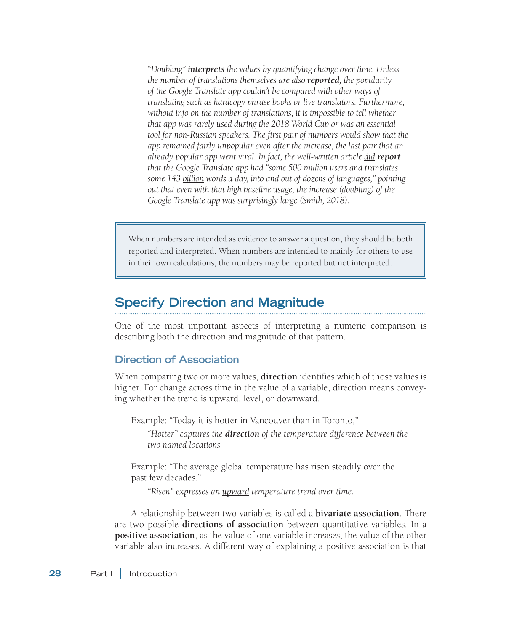*"Doubling" interprets the values by quantifying change over time. Unless the number of translations themselves are also reported, the popularity of the Google Translate app couldn't be compared with other ways of translating such as hardcopy phrase books or live translators. Furthermore, without info on the number of translations, it is impossible to tell whether that app was rarely used during the 2018 World Cup or was an essential tool for non-Russian speakers. The first pair of numbers would show that the app remained fairly unpopular even after the increase, the last pair that an already popular app went viral. In fact, the well-written article did report that the Google Translate app had "some 500 million users and translates some 143 billion words a day, into and out of dozens of languages," pointing out that even with that high baseline usage, the increase (doubling) of the Google Translate app was surprisingly large (Smith, 2018).*

When numbers are intended as evidence to answer a question, they should be both reported and interpreted. When numbers are intended to mainly for others to use in their own calculations, the numbers may be reported but not interpreted.

# **Specify Direction and Magnitude**

One of the most important aspects of interpreting a numeric comparison is describing both the direction and magnitude of that pattern.

### **Direction of Association**

When comparing two or more values, **direction** identifies which of those values is higher. For change across time in the value of a variable, direction means conveying whether the trend is upward, level, or downward.

Example: "Today it is hotter in Vancouver than in Toronto,"

*"Hotter" captures the direction of the temperature difference between the two named locations.*

Example: "The average global temperature has risen steadily over the past few decades."

*"Risen" expresses an upward temperature trend over time.*

A relationship between two variables is called a **bivariate association**. There are two possible **directions of association** between quantitative variables. In a **positive association**, as the value of one variable increases, the value of the other variable also increases. A different way of explaining a positive association is that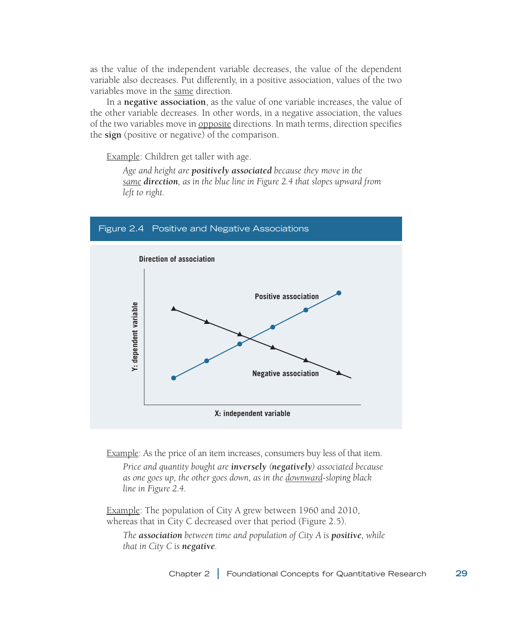as the value of the independent variable decreases, the value of the dependent variable also decreases. Put differently, in a positive association, values of the two variables move in the same direction.

In a **negative association**, as the value of one variable increases, the value of the other variable decreases. In other words, in a negative association, the values of the two variables move in opposite directions. In math terms, direction specifies the **sign** (positive or negative) of the comparison.

Example: Children get taller with age.

*Age and height are positively associated because they move in the same direction, as in the blue line in Figure 2.4 that slopes upward from left to right.*



Example: As the price of an item increases, consumers buy less of that item.

*Price and quantity bought are inversely (negatively) associated because as one goes up, the other goes down, as in the downward-sloping black line in Figure 2.4.*

Example: The population of City A grew between 1960 and 2010, whereas that in City C decreased over that period (Figure 2.5).

*The association between time and population of City A is positive, while that in City C is negative.*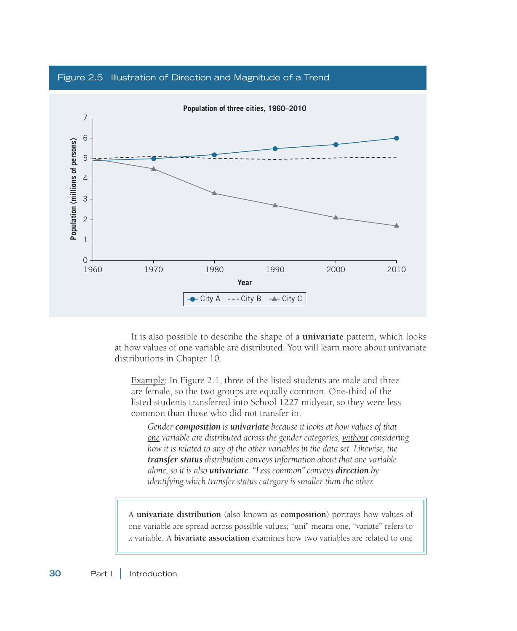

Figure 2.5 Illustration of Direction and Magnitude of a Trend

It is also possible to describe the shape of a **univariate** pattern, which looks at how values of one variable are distributed. You will learn more about univariate distributions in Chapter 10.

Example: In Figure 2.1, three of the listed students are male and three are female, so the two groups are equally common. One-third of the listed students transferred into School 1227 midyear, so they were less common than those who did not transfer in.

*Gender composition is univariate because it looks at how values of that one variable are distributed across the gender categories, without considering how it is related to any of the other variables in the data set. Likewise, the transfer status distribution conveys information about that one variable alone, so it is also univariate. "Less common" conveys direction by identifying which transfer status category is smaller than the other.*

A **univariate distribution** (also known as **composition**) portrays how values of one variable are spread across possible values; "uni" means one, "variate" refers to a variable. A **bivariate association** examines how two variables are related to one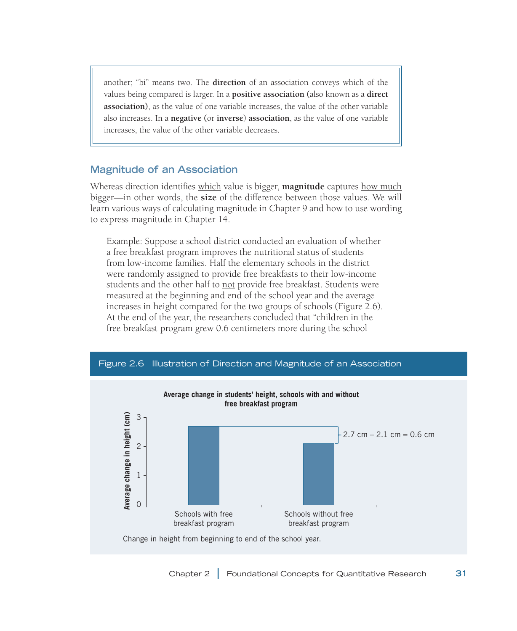another; "bi" means two. The **direction** of an association conveys which of the values being compared is larger. In a **positive association (**also known as a **direct association)**, as the value of one variable increases, the value of the other variable also increases. In a **negative (**or **inverse**) **association**, as the value of one variable increases, the value of the other variable decreases.

### **Magnitude of an Association**

Whereas direction identifies which value is bigger, **magnitude** captures how much bigger—in other words, the **size** of the difference between those values. We will learn various ways of calculating magnitude in Chapter 9 and how to use wording to express magnitude in Chapter 14.

Example: Suppose a school district conducted an evaluation of whether a free breakfast program improves the nutritional status of students from low-income families. Half the elementary schools in the district were randomly assigned to provide free breakfasts to their low-income students and the other half to not provide free breakfast. Students were measured at the beginning and end of the school year and the average increases in height compared for the two groups of schools (Figure 2.6). At the end of the year, the researchers concluded that "children in the free breakfast program grew 0.6 centimeters more during the school

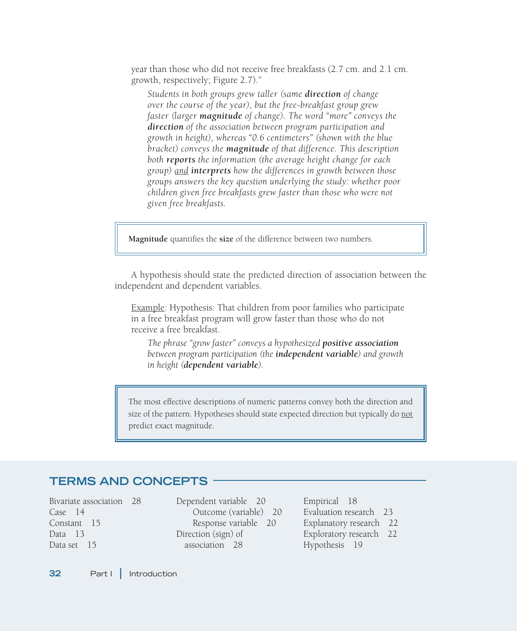year than those who did not receive free breakfasts (2.7 cm. and 2.1 cm. growth, respectively; Figure 2.7)."

*Students in both groups grew taller (same direction of change over the course of the year), but the free-breakfast group grew faster (larger magnitude of change). The word "more" conveys the direction of the association between program participation and growth in height), whereas "0.6 centimeters" (shown with the blue bracket) conveys the magnitude of that difference. This description both reports the information (the average height change for each group) and interprets how the differences in growth between those groups answers the key question underlying the study: whether poor children given free breakfasts grew faster than those who were not given free breakfasts.*

**Magnitude** quantifies the **size** of the difference between two numbers.

A hypothesis should state the predicted direction of association between the independent and dependent variables.

Example: Hypothesis: That children from poor families who participate in a free breakfast program will grow faster than those who do not receive a free breakfast.

*The phrase "grow faster" conveys a hypothesized positive association between program participation (the independent variable) and growth in height (dependent variable).*

The most effective descriptions of numeric patterns convey both the direction and size of the pattern. Hypotheses should state expected direction but typically do not predict exact magnitude.

### **TERMS AND CONCEPTS**

Bivariate association 28 Case 14 Constant 15 Data 13 Data set 15

Dependent variable 20 Outcome (variable) 20 Response variable 20 Direction (sign) of association 28

Empirical 18 Evaluation research 23 Explanatory research 22 Exploratory research 22 Hypothesis 19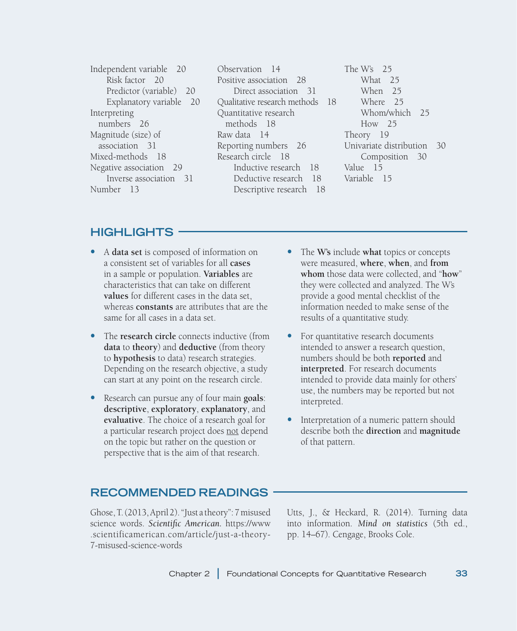| Independent variable 20 | Observation 14                  | The W's $25$               |
|-------------------------|---------------------------------|----------------------------|
| Risk factor 20          | Positive association 28         | What 25                    |
| Predictor (variable) 20 | Direct association 31           | When 25                    |
| Explanatory variable 20 | Qualitative research methods 18 | Where 25                   |
| Interpreting            | Quantitative research           | Whom/which 25              |
| numbers 26              | methods 18                      | How $25$                   |
| Magnitude (size) of     | Raw data 14                     | Theory 19                  |
| association 31          | Reporting numbers 26            | Univariate distribution 30 |
| Mixed-methods 18        | Research circle 18              | Composition 30             |
| Negative association 29 | Inductive research 18           | Value 15                   |
| Inverse association 31  | Deductive research 18           | Variable 15                |
| Number 13               | Descriptive research 18         |                            |

### **HIGHLIGHTS**

- A **data set** is composed of information on a consistent set of variables for all **cases** in a sample or population. **Variables** are characteristics that can take on different **values** for different cases in the data set, whereas **constants** are attributes that are the same for all cases in a data set.
- The **research circle** connects inductive (from **data** to **theory**) and **deductive** (from theory to **hypothesis** to data) research strategies. Depending on the research objective, a study can start at any point on the research circle.
- Research can pursue any of four main **goals**: **descriptive**, **exploratory**, **explanatory**, and **evaluative**. The choice of a research goal for a particular research project does not depend on the topic but rather on the question or perspective that is the aim of that research.
- The **W's** include **what** topics or concepts were measured, **where**, **when**, and **from whom** those data were collected, and "**how**" they were collected and analyzed. The W's provide a good mental checklist of the information needed to make sense of the results of a quantitative study.
- For quantitative research documents intended to answer a research question, numbers should be both **reported** and **interpreted**. For research documents intended to provide data mainly for others' use, the numbers may be reported but not interpreted.
- Interpretation of a numeric pattern should describe both the **direction** and **magnitude** of that pattern.

### **RECOMMENDED READINGS**

Ghose, T. (2013, April 2). "Just a theory": 7 misused science words. *Scientific American.* https://www .scientificamerican.com/article/just-a-theory-7-misused-science-words

Utts, J., & Heckard, R. (2014). Turning data into information. *Mind on statistics* (5th ed., pp. 14–67). Cengage, Brooks Cole.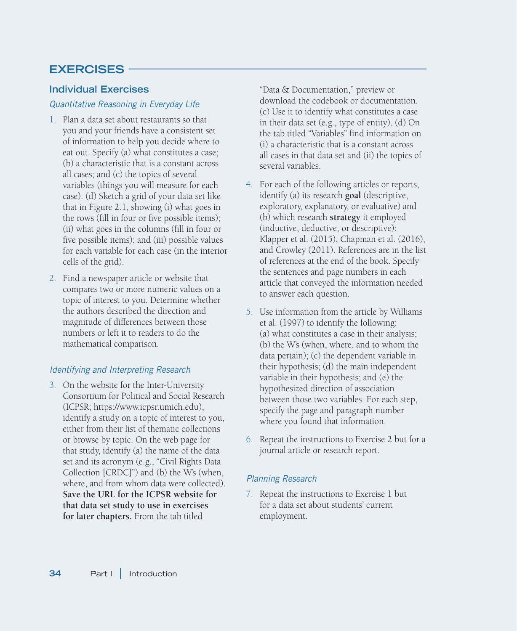## **EXERCISES**

### **Individual Exercises**

### *Quantitative Reasoning in Everyday Life*

- 1. Plan a data set about restaurants so that you and your friends have a consistent set of information to help you decide where to eat out. Specify (a) what constitutes a case; (b) a characteristic that is a constant across all cases; and (c) the topics of several variables (things you will measure for each case). (d) Sketch a grid of your data set like that in Figure 2.1, showing (i) what goes in the rows (fill in four or five possible items); (ii) what goes in the columns (fill in four or five possible items); and (iii) possible values for each variable for each case (in the interior cells of the grid).
- 2. Find a newspaper article or website that compares two or more numeric values on a topic of interest to you. Determine whether the authors described the direction and magnitude of differences between those numbers or left it to readers to do the mathematical comparison.

### *Identifying and Interpreting Research*

3. On the website for the Inter-University Consortium for Political and Social Research (ICPSR; https://www.icpsr.umich.edu), identify a study on a topic of interest to you, either from their list of thematic collections or browse by topic. On the web page for that study, identify (a) the name of the data set and its acronym (e.g., "Civil Rights Data Collection [CRDC]") and (b) the W's (when, where, and from whom data were collected). **Save the URL for the ICPSR website for that data set study to use in exercises for later chapters.** From the tab titled

"Data & Documentation," preview or download the codebook or documentation. (c) Use it to identify what constitutes a case in their data set (e.g., type of entity). (d) On the tab titled "Variables" find information on (i) a characteristic that is a constant across all cases in that data set and (ii) the topics of several variables.

- 4. For each of the following articles or reports, identify (a) its research **goal** (descriptive, exploratory, explanatory, or evaluative) and (b) which research **strategy** it employed (inductive, deductive, or descriptive): Klapper et al. (2015), Chapman et al. (2016), and Crowley (2011). References are in the list of references at the end of the book. Specify the sentences and page numbers in each article that conveyed the information needed to answer each question.
- 5. Use information from the article by Williams et al. (1997) to identify the following: (a) what constitutes a case in their analysis; (b) the W's (when, where, and to whom the data pertain); (c) the dependent variable in their hypothesis; (d) the main independent variable in their hypothesis; and (e) the hypothesized direction of association between those two variables. For each step, specify the page and paragraph number where you found that information.
- 6. Repeat the instructions to Exercise 2 but for a journal article or research report.

#### *Planning Research*

7. Repeat the instructions to Exercise 1 but for a data set about students' current employment.